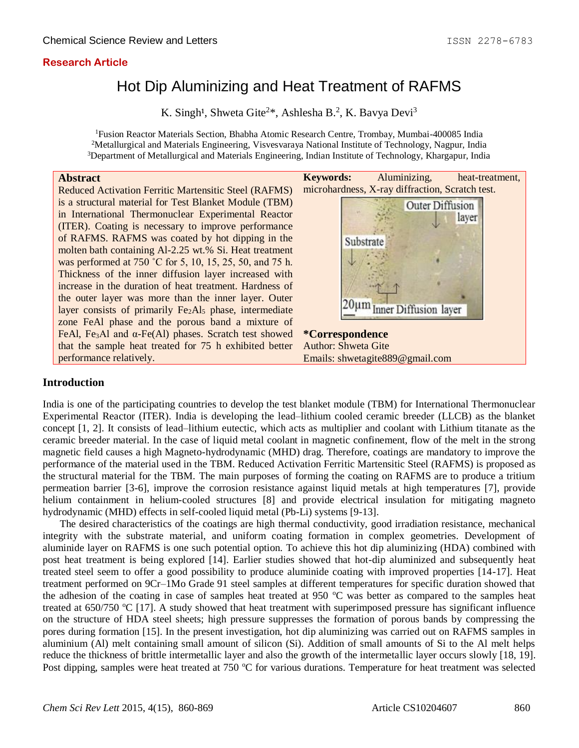## **Research Article**

# Hot Dip Aluminizing and Heat Treatment of RAFMS

K. Singh<sup>1</sup>, Shweta Gite<sup>2\*</sup>, Ashlesha B.<sup>2</sup>, K. Bavya Devi<sup>3</sup>

<sup>1</sup>Fusion Reactor Materials Section, Bhabha Atomic Research Centre, Trombay, Mumbai-400085 India <sup>2</sup>Metallurgical and Materials Engineering, Visvesvaraya National Institute of Technology, Nagpur, India <sup>3</sup>Department of Metallurgical and Materials Engineering, Indian Institute of Technology, Khargapur, India

#### **Abstract**

Reduced Activation Ferritic Martensitic Steel (RAFMS) is a structural material for Test Blanket Module (TBM) in International Thermonuclear Experimental Reactor (ITER). Coating is necessary to improve performance of RAFMS. RAFMS was coated by hot dipping in the molten bath containing Al-2.25 wt.% Si. Heat treatment was performed at 750 °C for 5, 10, 15, 25, 50, and 75 h. Thickness of the inner diffusion layer increased with increase in the duration of heat treatment. Hardness of the outer layer was more than the inner layer. Outer layer consists of primarily  $Fe<sub>2</sub>Al<sub>5</sub>$  phase, intermediate zone FeAl phase and the porous band a mixture of FeAl, Fe<sub>3</sub>Al and  $\alpha$ -Fe(Al) phases. Scratch test showed that the sample heat treated for 75 h exhibited better performance relatively.



## **Introduction**

India is one of the participating countries to develop the test blanket module (TBM) for International Thermonuclear Experimental Reactor (ITER). India is developing the lead–lithium cooled ceramic breeder (LLCB) as the blanket concept [1, 2]. It consists of lead–lithium eutectic, which acts as multiplier and coolant with Lithium titanate as the ceramic breeder material. In the case of liquid metal coolant in magnetic confinement, flow of the melt in the strong magnetic field causes a high Magneto-hydrodynamic (MHD) drag. Therefore, coatings are mandatory to improve the performance of the material used in the TBM. Reduced Activation Ferritic Martensitic Steel (RAFMS) is proposed as the structural material for the TBM. The main purposes of forming the coating on RAFMS are to produce a tritium permeation barrier [3-6], improve the corrosion resistance against liquid metals at high temperatures [7], provide helium containment in helium-cooled structures [8] and provide electrical insulation for mitigating magneto hydrodynamic (MHD) effects in self-cooled liquid metal (Pb-Li) systems [9-13].

The desired characteristics of the coatings are high thermal conductivity, good irradiation resistance, mechanical integrity with the substrate material, and uniform coating formation in complex geometries. Development of aluminide layer on RAFMS is one such potential option. To achieve this hot dip aluminizing (HDA) combined with post heat treatment is being explored [14]. Earlier studies showed that hot-dip aluminized and subsequently heat treated steel seem to offer a good possibility to produce aluminide coating with improved properties [14-17]. Heat treatment performed on 9Cr–1Mo Grade 91 steel samples at different temperatures for specific duration showed that the adhesion of the coating in case of samples heat treated at 950  $^{\circ}$ C was better as compared to the samples heat treated at  $650/750$  °C [17]. A study showed that heat treatment with superimposed pressure has significant influence on the structure of HDA steel sheets; high pressure suppresses the formation of porous bands by compressing the pores during formation [15]. In the present investigation, hot dip aluminizing was carried out on RAFMS samples in aluminium (Al) melt containing small amount of silicon (Si). Addition of small amounts of Si to the Al melt helps reduce the thickness of brittle intermetallic layer and also the growth of the intermetallic layer occurs slowly [18, 19]. Post dipping, samples were heat treated at 750 °C for various durations. Temperature for heat treatment was selected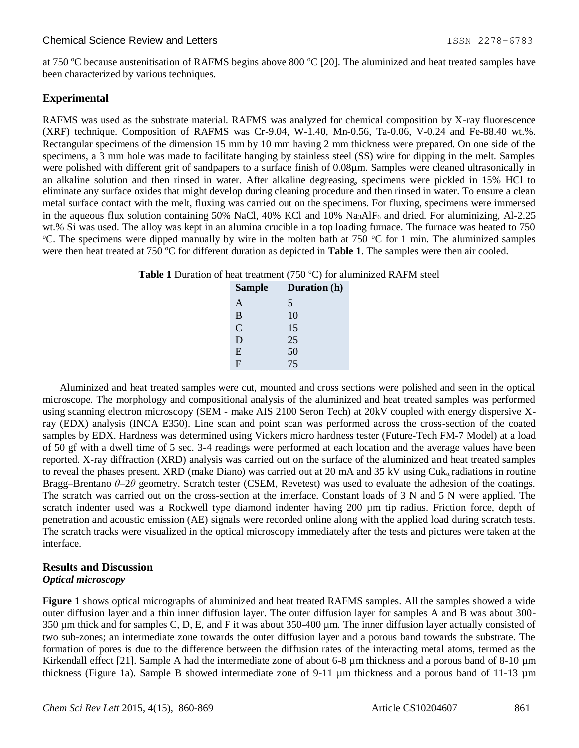at 750  $\degree$ C because austenitisation of RAFMS begins above 800  $\degree$ C [20]. The aluminized and heat treated samples have been characterized by various techniques.

## **Experimental**

RAFMS was used as the substrate material. RAFMS was analyzed for chemical composition by X-ray fluorescence (XRF) technique. Composition of RAFMS was Cr-9.04, W-1.40, Mn-0.56, Ta-0.06, V-0.24 and Fe-88.40 wt.%. Rectangular specimens of the dimension 15 mm by 10 mm having 2 mm thickness were prepared. On one side of the specimens, a 3 mm hole was made to facilitate hanging by stainless steel (SS) wire for dipping in the melt. Samples were polished with different grit of sandpapers to a surface finish of 0.08µm. Samples were cleaned ultrasonically in an alkaline solution and then rinsed in water. After alkaline degreasing, specimens were pickled in 15% HCl to eliminate any surface oxides that might develop during cleaning procedure and then rinsed in water. To ensure a clean metal surface contact with the melt, fluxing was carried out on the specimens. For fluxing, specimens were immersed in the aqueous flux solution containing 50% NaCl, 40% KCl and 10% Na<sub>3</sub>AlF<sub>6</sub> and dried. For aluminizing, Al-2.25 wt.% Si was used. The alloy was kept in an alumina crucible in a top loading furnace. The furnace was heated to 750 <sup>o</sup>C. The specimens were dipped manually by wire in the molten bath at 750 <sup>o</sup>C for 1 min. The aluminized samples were then heat treated at  $750^{\circ}$ C for different duration as depicted in **Table 1**. The samples were then air cooled.

|  | <b>Table 1</b> Duration of heat treatment (750 $^{\circ}$ C) for aluminized RAFM steel |
|--|----------------------------------------------------------------------------------------|
|--|----------------------------------------------------------------------------------------|

| <b>Sample</b>  | Duration (h) |
|----------------|--------------|
| A              | 5            |
| B              | 10           |
| $\overline{C}$ | 15           |
| D              | 25           |
| E              | 50           |
| F              | 75           |

Aluminized and heat treated samples were cut, mounted and cross sections were polished and seen in the optical microscope. The morphology and compositional analysis of the aluminized and heat treated samples was performed using scanning electron microscopy (SEM - make AIS 2100 Seron Tech) at 20kV coupled with energy dispersive Xray (EDX) analysis (INCA E350). Line scan and point scan was performed across the cross-section of the coated samples by EDX. Hardness was determined using Vickers micro hardness tester (Future-Tech FM-7 Model) at a load of 50 gf with a dwell time of 5 sec. 3-4 readings were performed at each location and the average values have been reported. X-ray diffraction (XRD) analysis was carried out on the surface of the aluminized and heat treated samples to reveal the phases present. XRD (make Diano) was carried out at 20 mA and 35 kV using  $Cuk<sub>a</sub>$  radiations in routine Bragg–Brentano *θ*–2*θ* geometry. Scratch tester (CSEM, Revetest) was used to evaluate the adhesion of the coatings. The scratch was carried out on the cross-section at the interface. Constant loads of 3 N and 5 N were applied. The scratch indenter used was a Rockwell type diamond indenter having 200  $\mu$ m tip radius. Friction force, depth of penetration and acoustic emission (AE) signals were recorded online along with the applied load during scratch tests. The scratch tracks were visualized in the optical microscopy immediately after the tests and pictures were taken at the interface.

## **Results and Discussion**

## *Optical microscopy*

**Figure 1** shows optical micrographs of aluminized and heat treated RAFMS samples. All the samples showed a wide outer diffusion layer and a thin inner diffusion layer. The outer diffusion layer for samples A and B was about 300- 350 µm thick and for samples C, D, E, and F it was about 350-400 µm. The inner diffusion layer actually consisted of two sub-zones; an intermediate zone towards the outer diffusion layer and a porous band towards the substrate. The formation of pores is due to the difference between the diffusion rates of the interacting metal atoms, termed as the Kirkendall effect [21]. Sample A had the intermediate zone of about 6-8  $\mu$ m thickness and a porous band of 8-10  $\mu$ m thickness (Figure 1a). Sample B showed intermediate zone of 9-11 µm thickness and a porous band of 11-13 µm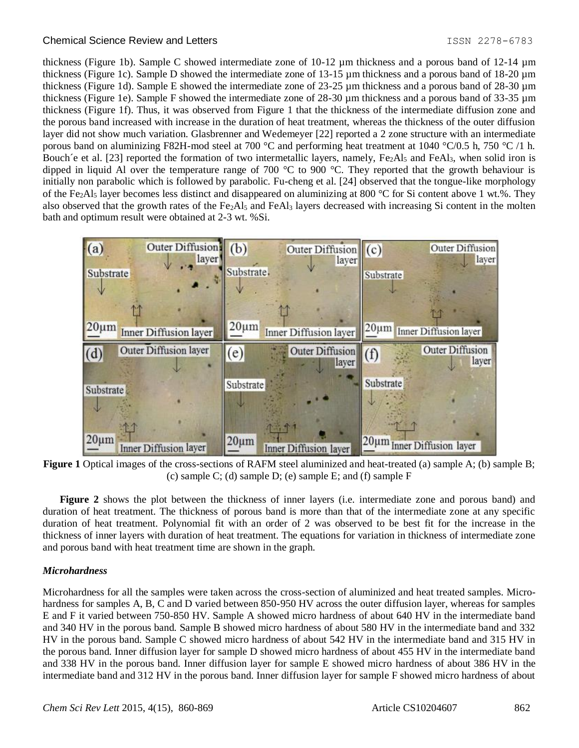thickness (Figure 1b). Sample C showed intermediate zone of 10-12 µm thickness and a porous band of 12-14 µm thickness (Figure 1c). Sample D showed the intermediate zone of 13-15 µm thickness and a porous band of 18-20 µm thickness (Figure 1d). Sample E showed the intermediate zone of 23-25 µm thickness and a porous band of 28-30 µm thickness (Figure 1e). Sample F showed the intermediate zone of 28-30 µm thickness and a porous band of 33-35 µm thickness (Figure 1f). Thus, it was observed from Figure 1 that the thickness of the intermediate diffusion zone and the porous band increased with increase in the duration of heat treatment, whereas the thickness of the outer diffusion layer did not show much variation. Glasbrenner and Wedemeyer [22] reported a 2 zone structure with an intermediate porous band on aluminizing F82H-mod steel at 700 °C and performing heat treatment at 1040 °C/0.5 h, 750 °C /1 h. Bouch'e et al. [23] reported the formation of two intermetallic layers, namely,  $Fe<sub>2</sub>Al<sub>5</sub>$  and  $FeAl<sub>3</sub>$ , when solid iron is dipped in liquid Al over the temperature range of 700 °C to 900 °C. They reported that the growth behaviour is initially non parabolic which is followed by parabolic. Fu-cheng et al. [24] observed that the tongue-like morphology of the Fe<sub>2</sub>Al<sub>5</sub> layer becomes less distinct and disappeared on aluminizing at 800 °C for Si content above 1 wt.%. They also observed that the growth rates of the  $Fe<sub>2</sub>Al<sub>5</sub>$  and  $FeAl<sub>3</sub>$  layers decreased with increasing Si content in the molten bath and optimum result were obtained at 2-3 wt. %Si.



**Figure 1** Optical images of the cross-sections of RAFM steel aluminized and heat-treated (a) sample A; (b) sample B; (c) sample C; (d) sample D; (e) sample E; and (f) sample F

**Figure 2** shows the plot between the thickness of inner layers (i.e. intermediate zone and porous band) and duration of heat treatment. The thickness of porous band is more than that of the intermediate zone at any specific duration of heat treatment. Polynomial fit with an order of 2 was observed to be best fit for the increase in the thickness of inner layers with duration of heat treatment. The equations for variation in thickness of intermediate zone and porous band with heat treatment time are shown in the graph.

#### *Microhardness*

Microhardness for all the samples were taken across the cross-section of aluminized and heat treated samples. Microhardness for samples A, B, C and D varied between 850-950 HV across the outer diffusion layer, whereas for samples E and F it varied between 750-850 HV. Sample A showed micro hardness of about 640 HV in the intermediate band and 340 HV in the porous band. Sample B showed micro hardness of about 580 HV in the intermediate band and 332 HV in the porous band. Sample C showed micro hardness of about 542 HV in the intermediate band and 315 HV in the porous band. Inner diffusion layer for sample D showed micro hardness of about 455 HV in the intermediate band and 338 HV in the porous band. Inner diffusion layer for sample E showed micro hardness of about 386 HV in the intermediate band and 312 HV in the porous band. Inner diffusion layer for sample F showed micro hardness of about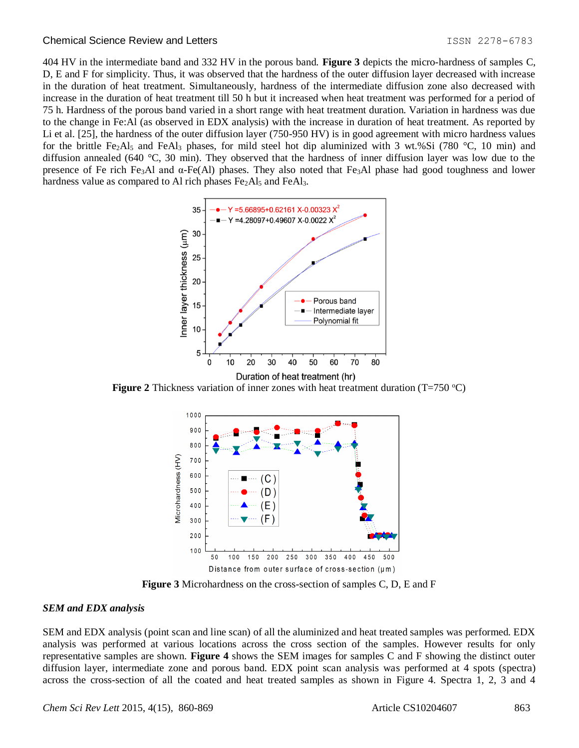404 HV in the intermediate band and 332 HV in the porous band. **Figure 3** depicts the micro-hardness of samples C, D, E and F for simplicity. Thus, it was observed that the hardness of the outer diffusion layer decreased with increase in the duration of heat treatment. Simultaneously, hardness of the intermediate diffusion zone also decreased with increase in the duration of heat treatment till 50 h but it increased when heat treatment was performed for a period of 75 h. Hardness of the porous band varied in a short range with heat treatment duration. Variation in hardness was due to the change in Fe:Al (as observed in EDX analysis) with the increase in duration of heat treatment. As reported by Li et al. [25], the hardness of the outer diffusion layer (750-950 HV) is in good agreement with micro hardness values for the brittle Fe<sub>2</sub>Al<sub>5</sub> and FeAl<sub>3</sub> phases, for mild steel hot dip aluminized with 3 wt.%Si (780 °C, 10 min) and diffusion annealed (640 °C, 30 min). They observed that the hardness of inner diffusion layer was low due to the presence of Fe rich Fe3Al and α-Fe(Al) phases. They also noted that Fe3Al phase had good toughness and lower hardness value as compared to Al rich phases  $Fe<sub>2</sub>Al<sub>5</sub>$  and  $FeAl<sub>3</sub>$ .



**Figure** 2 Thickness variation of inner zones with heat treatment duration  $(T=750 \degree C)$ 



**Figure 3** Microhardness on the cross-section of samples C, D, E and F

#### *SEM and EDX analysis*

SEM and EDX analysis (point scan and line scan) of all the aluminized and heat treated samples was performed. EDX analysis was performed at various locations across the cross section of the samples. However results for only representative samples are shown. **Figure 4** shows the SEM images for samples C and F showing the distinct outer diffusion layer, intermediate zone and porous band. EDX point scan analysis was performed at 4 spots (spectra) across the cross-section of all the coated and heat treated samples as shown in Figure 4. Spectra 1, 2, 3 and 4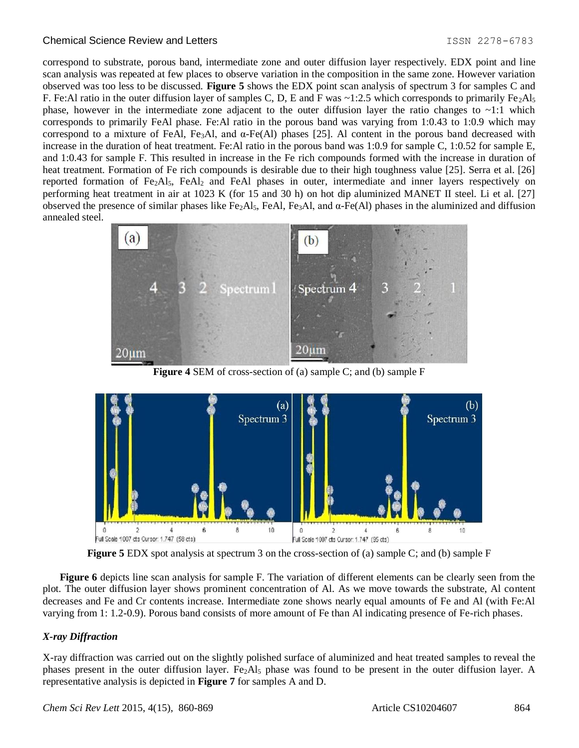correspond to substrate, porous band, intermediate zone and outer diffusion layer respectively. EDX point and line scan analysis was repeated at few places to observe variation in the composition in the same zone. However variation observed was too less to be discussed. **Figure 5** shows the EDX point scan analysis of spectrum 3 for samples C and F. Fe:Al ratio in the outer diffusion layer of samples C, D, E and F was  $\sim$ 1:2.5 which corresponds to primarily Fe<sub>2</sub>Al<sub>5</sub> phase, however in the intermediate zone adjacent to the outer diffusion layer the ratio changes to  $\sim$ 1:1 which corresponds to primarily FeAl phase. Fe:Al ratio in the porous band was varying from 1:0.43 to 1:0.9 which may correspond to a mixture of FeAl, Fe<sub>3</sub>Al, and α-Fe(Al) phases [25]. Al content in the porous band decreased with increase in the duration of heat treatment. Fe:Al ratio in the porous band was 1:0.9 for sample C, 1:0.52 for sample E, and 1:0.43 for sample F. This resulted in increase in the Fe rich compounds formed with the increase in duration of heat treatment. Formation of Fe rich compounds is desirable due to their high toughness value [25]. Serra et al. [26] reported formation of Fe<sub>2</sub>Al<sub>5</sub>, FeAl<sub>2</sub> and FeAl phases in outer, intermediate and inner layers respectively on performing heat treatment in air at 1023 K (for 15 and 30 h) on hot dip aluminized MANET II steel. Li et al. [27] observed the presence of similar phases like Fe<sub>2</sub>Al<sub>5</sub>, FeAl, Fe<sub>3</sub>Al, and  $\alpha$ -Fe(Al) phases in the aluminized and diffusion annealed steel.



**Figure 4** SEM of cross-section of (a) sample C; and (b) sample F



**Figure 5** EDX spot analysis at spectrum 3 on the cross-section of (a) sample C; and (b) sample F

**Figure 6** depicts line scan analysis for sample F. The variation of different elements can be clearly seen from the plot. The outer diffusion layer shows prominent concentration of Al. As we move towards the substrate, Al content decreases and Fe and Cr contents increase. Intermediate zone shows nearly equal amounts of Fe and Al (with Fe:Al varying from 1: 1.2-0.9). Porous band consists of more amount of Fe than Al indicating presence of Fe-rich phases.

## *X-ray Diffraction*

X-ray diffraction was carried out on the slightly polished surface of aluminized and heat treated samples to reveal the phases present in the outer diffusion layer. Fe<sub>2</sub>Al<sub>5</sub> phase was found to be present in the outer diffusion layer. A representative analysis is depicted in **Figure 7** for samples A and D.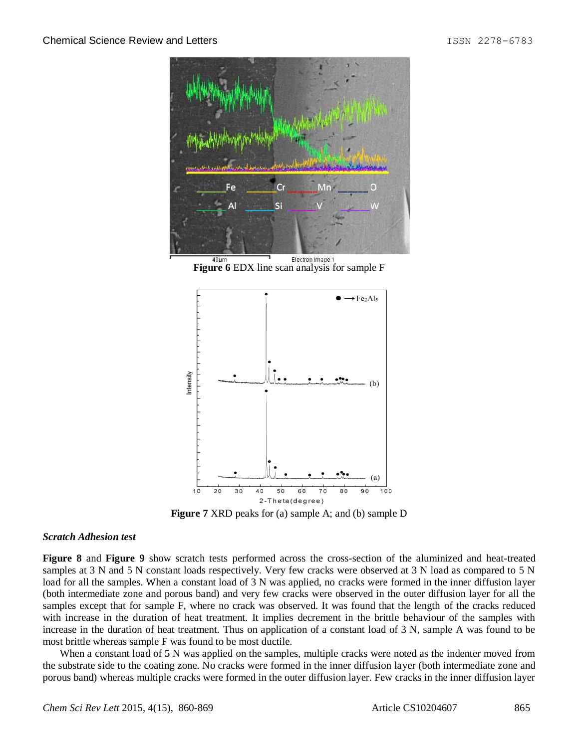

**Figure 6** EDX line scan analysis for sample F



**Figure 7** XRD peaks for (a) sample A; and (b) sample D

#### *Scratch Adhesion test*

**Figure 8** and **Figure 9** show scratch tests performed across the cross-section of the aluminized and heat-treated samples at 3 N and 5 N constant loads respectively. Very few cracks were observed at 3 N load as compared to 5 N load for all the samples. When a constant load of 3 N was applied, no cracks were formed in the inner diffusion layer (both intermediate zone and porous band) and very few cracks were observed in the outer diffusion layer for all the samples except that for sample F, where no crack was observed. It was found that the length of the cracks reduced with increase in the duration of heat treatment. It implies decrement in the brittle behaviour of the samples with increase in the duration of heat treatment. Thus on application of a constant load of 3 N, sample A was found to be most brittle whereas sample F was found to be most ductile.

When a constant load of 5 N was applied on the samples, multiple cracks were noted as the indenter moved from the substrate side to the coating zone. No cracks were formed in the inner diffusion layer (both intermediate zone and porous band) whereas multiple cracks were formed in the outer diffusion layer. Few cracks in the inner diffusion layer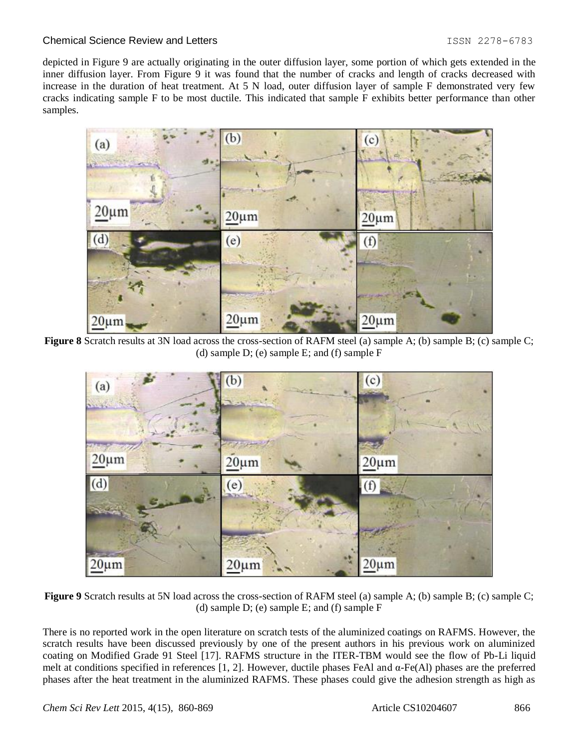depicted in Figure 9 are actually originating in the outer diffusion layer, some portion of which gets extended in the inner diffusion layer. From Figure 9 it was found that the number of cracks and length of cracks decreased with increase in the duration of heat treatment. At 5 N load, outer diffusion layer of sample F demonstrated very few cracks indicating sample F to be most ductile. This indicated that sample F exhibits better performance than other samples.



**Figure 8** Scratch results at 3N load across the cross-section of RAFM steel (a) sample A; (b) sample B; (c) sample C; (d) sample D; (e) sample E; and (f) sample F



**Figure 9** Scratch results at 5N load across the cross-section of RAFM steel (a) sample A; (b) sample B; (c) sample C; (d) sample D; (e) sample E; and (f) sample F

There is no reported work in the open literature on scratch tests of the aluminized coatings on RAFMS. However, the scratch results have been discussed previously by one of the present authors in his previous work on aluminized coating on Modified Grade 91 Steel [17]. RAFMS structure in the ITER-TBM would see the flow of Pb-Li liquid melt at conditions specified in references [1, 2]. However, ductile phases FeAl and α-Fe(Al) phases are the preferred phases after the heat treatment in the aluminized RAFMS. These phases could give the adhesion strength as high as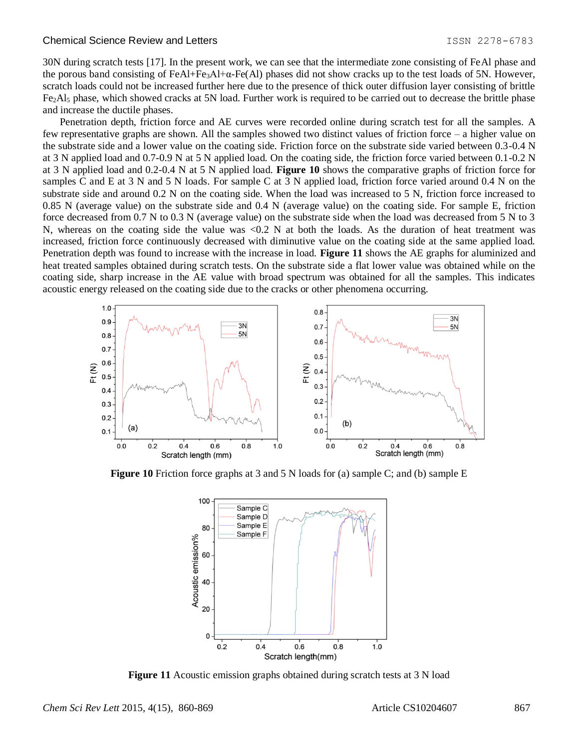30N during scratch tests [17]. In the present work, we can see that the intermediate zone consisting of FeAl phase and the porous band consisting of FeAl+Fe<sub>3</sub>Al+ $\alpha$ -Fe(Al) phases did not show cracks up to the test loads of 5N. However, scratch loads could not be increased further here due to the presence of thick outer diffusion layer consisting of brittle  $Fe<sub>2</sub>Al<sub>5</sub>$  phase, which showed cracks at 5N load. Further work is required to be carried out to decrease the brittle phase and increase the ductile phases.

Penetration depth, friction force and AE curves were recorded online during scratch test for all the samples. A few representative graphs are shown. All the samples showed two distinct values of friction force – a higher value on the substrate side and a lower value on the coating side. Friction force on the substrate side varied between 0.3-0.4 N at 3 N applied load and 0.7-0.9 N at 5 N applied load. On the coating side, the friction force varied between 0.1-0.2 N at 3 N applied load and 0.2-0.4 N at 5 N applied load. **Figure 10** shows the comparative graphs of friction force for samples C and E at 3 N and 5 N loads. For sample C at 3 N applied load, friction force varied around 0.4 N on the substrate side and around 0.2 N on the coating side. When the load was increased to 5 N, friction force increased to 0.85 N (average value) on the substrate side and 0.4 N (average value) on the coating side. For sample E, friction force decreased from 0.7 N to 0.3 N (average value) on the substrate side when the load was decreased from 5 N to 3 N, whereas on the coating side the value was <0.2 N at both the loads. As the duration of heat treatment was increased, friction force continuously decreased with diminutive value on the coating side at the same applied load. Penetration depth was found to increase with the increase in load. **Figure 11** shows the AE graphs for aluminized and heat treated samples obtained during scratch tests. On the substrate side a flat lower value was obtained while on the coating side, sharp increase in the AE value with broad spectrum was obtained for all the samples. This indicates acoustic energy released on the coating side due to the cracks or other phenomena occurring.



**Figure 10** Friction force graphs at 3 and 5 N loads for (a) sample C; and (b) sample E



**Figure 11** Acoustic emission graphs obtained during scratch tests at 3 N load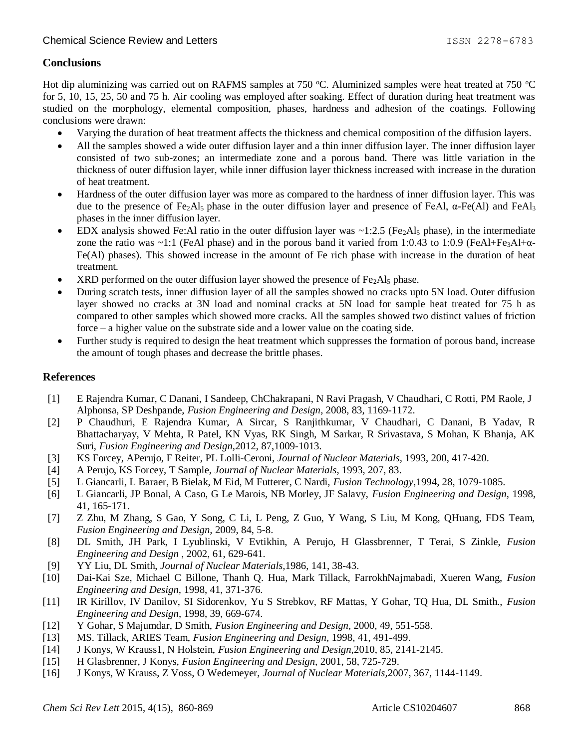## **Conclusions**

Hot dip aluminizing was carried out on RAFMS samples at 750 °C. Aluminized samples were heat treated at 750 °C for 5, 10, 15, 25, 50 and 75 h. Air cooling was employed after soaking. Effect of duration during heat treatment was studied on the morphology, elemental composition, phases, hardness and adhesion of the coatings. Following conclusions were drawn:

- Varying the duration of heat treatment affects the thickness and chemical composition of the diffusion layers.
- All the samples showed a wide outer diffusion layer and a thin inner diffusion layer. The inner diffusion layer consisted of two sub-zones; an intermediate zone and a porous band. There was little variation in the thickness of outer diffusion layer, while inner diffusion layer thickness increased with increase in the duration of heat treatment.
- Hardness of the outer diffusion layer was more as compared to the hardness of inner diffusion layer. This was due to the presence of Fe<sub>2</sub>Al<sub>5</sub> phase in the outer diffusion layer and presence of FeAl, α-Fe(Al) and FeAl<sub>3</sub> phases in the inner diffusion layer.
- EDX analysis showed Fe:Al ratio in the outer diffusion layer was  $\sim$ 1:2.5 (Fe<sub>2</sub>Al<sub>5</sub> phase), in the intermediate zone the ratio was ~1:1 (FeAl phase) and in the porous band it varied from 1:0.43 to 1:0.9 (FeAl+Fe<sub>3</sub>Al+ $\alpha$ -Fe(Al) phases). This showed increase in the amount of Fe rich phase with increase in the duration of heat treatment.
- $XRD$  performed on the outer diffusion layer showed the presence of  $Fe<sub>2</sub>Al<sub>5</sub>$  phase.
- During scratch tests, inner diffusion layer of all the samples showed no cracks upto 5N load. Outer diffusion layer showed no cracks at 3N load and nominal cracks at 5N load for sample heat treated for 75 h as compared to other samples which showed more cracks. All the samples showed two distinct values of friction force – a higher value on the substrate side and a lower value on the coating side.
- Further study is required to design the heat treatment which suppresses the formation of porous band, increase the amount of tough phases and decrease the brittle phases.

## **References**

- [1] E Rajendra Kumar, C Danani, I Sandeep, ChChakrapani, N Ravi Pragash, V Chaudhari, C Rotti, PM Raole, J Alphonsa, SP Deshpande, *Fusion Engineering and Design*, 2008, 83, 1169-1172.
- [2] P Chaudhuri, E Rajendra Kumar, A Sircar, S Ranjithkumar, V Chaudhari, C Danani, B Yadav, R Bhattacharyay, V Mehta, R Patel, KN Vyas, RK Singh, M Sarkar, R Srivastava, S Mohan, K Bhanja, AK Suri, *Fusion Engineering and Design,*2012, 87,1009-1013.
- [3] KS Forcey, APerujo, F Reiter, PL Lolli-Ceroni, *Journal of Nuclear Materials,* 1993, 200, 417-420.
- [4] A Perujo, KS Forcey, T Sample, *Journal of Nuclear Materials*, 1993, 207, 83.
- [5] L Giancarli, L Baraer, B Bielak, M Eid, M Futterer, C Nardi, *Fusion Technology,*1994, 28, 1079-1085.
- [6] L Giancarli, JP Bonal, A Caso, G Le Marois, NB Morley, JF Salavy, *Fusion Engineering and Design,* 1998, 41, 165-171.
- [7] Z Zhu, M Zhang, S Gao, Y Song, C Li, L Peng, Z Guo, Y Wang, S Liu, M Kong, QHuang, FDS Team, *Fusion Engineering and Design,* 2009, 84, 5-8.
- [8] DL Smith, JH Park, I Lyublinski, V Evtikhin, A Perujo, H Glassbrenner, T Terai, S Zinkle, *Fusion Engineering and Design* , 2002, 61, 629-641.
- [9] YY Liu, DL Smith, *Journal of Nuclear Materials,*1986, 141, 38-43.
- [10] Dai-Kai Sze, Michael C Billone, Thanh Q. Hua, Mark Tillack, FarrokhNajmabadi, Xueren Wang, *Fusion Engineering and Design,* 1998, 41, 371-376.
- [11] IR Kirillov, IV Danilov, SI Sidorenkov, Yu S Strebkov, RF Mattas, Y Gohar, TQ Hua, DL Smith., *Fusion Engineering and Design*, 1998, 39, 669-674.
- [12] Y Gohar, S Majumdar, D Smith, *Fusion Engineering and Design*, 2000, 49, 551-558.
- [13] MS. Tillack, ARIES Team, *Fusion Engineering and Design*, 1998, 41, 491-499.
- [14] J Konys, W Krauss1, N Holstein, *Fusion Engineering and Design,*2010, 85, 2141-2145.
- [15] H Glasbrenner, J Konys, *Fusion Engineering and Design,* 2001, 58, 725-729.
- [16] J Konys, W Krauss, Z Voss, O Wedemeyer, *Journal of Nuclear Materials,*2007, 367, 1144-1149.